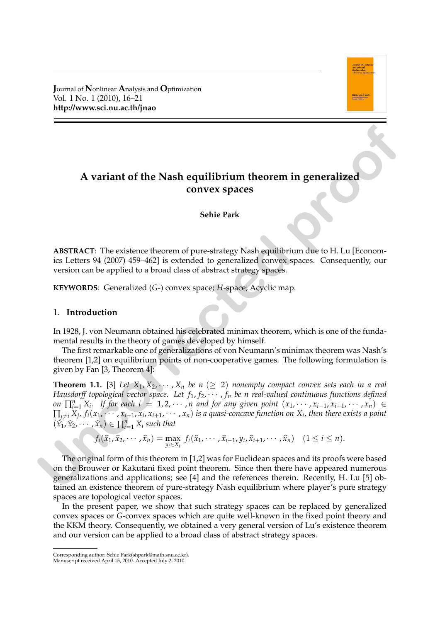**J**ournal of **N**onlinear **A**nalysis and **O**ptimization Vol. 1 No. 1 (2010), 16–21 **http://www.sci.nu.ac.th/jnao**



# **A variant of the Nash equilibrium theorem in generalized convex spaces**

## **Sehie Park**

**ABSTRACT**: The existence theorem of pure-strategy Nash equilibrium due to H. Lu [Economics Letters 94 (2007) 459–462] is extended to generalized convex spaces. Consequently, our version can be applied to a broad class of abstract strategy spaces.

**KEYWORDS**: Generalized (*G*-) convex space; *H*-space; Acyclic map.

# 1. **Introduction**

In 1928, J. von Neumann obtained his celebrated minimax theorem, which is one of the fundamental results in the theory of games developed by himself.

The first remarkable one of generalizations of von Neumann's minimax theorem was Nash's theorem [1,2] on equilibrium points of non-cooperative games. The following formulation is given by Fan [3, Theorem 4]:

**Theorem 1.1.** [3] Let  $X_1, X_2, \cdots, X_n$  be  $n \geq 2$ ) nonempty compact convex sets each in a real *Hausdorff topological vector space. Let*  $f_1, f_2, \cdots, f_n$  *be n real-valued continuous functions defined*  $\text{on } \prod_{i=1}^{n} X_i$ . If for each  $i = 1, 2, \cdots, n$  and for any given point  $(x_1, \cdots, x_{i-1}, x_{i+1}, \cdots, x_n)$  $\prod_{j\neq i}X_j$ ,  $f_i(x_1,\cdots,x_{i-1},x_i,x_{i+1},\cdots,x_n)$  is a quasi-concave function on  $X_i$ , then there exists a point  $(\hat{x}_1, \hat{x}_2, \dots, \hat{x}_n) \in \prod_{i=1}^n X_i$  such that **A variant of the Nash equilibrium theorem in generalized<br>
convex spaces<br>
Sehie Park<br>
<b>LASSTRACT:** The existence theorem of pure-strategy Nash equilibrium due to H. Lu [Economies traters 44 (2007) +89-4/2] is extended to

$$
f_i(\widehat{x}_1,\widehat{x}_2,\cdots,\widehat{x}_n)=\max_{y_i\in X_i} f_i(\widehat{x}_1,\cdots,\widehat{x}_{i-1},y_i,\widehat{x}_{i+1},\cdots,\widehat{x}_n) \quad (1\leq i\leq n).
$$

The original form of this theorem in [1,2] was for Euclidean spaces and its proofs were based on the Brouwer or Kakutani fixed point theorem. Since then there have appeared numerous generalizations and applications; see [4] and the references therein. Recently, H. Lu [5] obtained an existence theorem of pure-strategy Nash equilibrium where player's pure strategy spaces are topological vector spaces.

In the present paper, we show that such strategy spaces can be replaced by generalized convex spaces or *G*-convex spaces which are quite well-known in the fixed point theory and the KKM theory. Consequently, we obtained a very general version of Lu's existence theorem and our version can be applied to a broad class of abstract strategy spaces.

Corresponding author: Sehie Park(shpark@math.snu.ac.kr).

Manuscript received April 15, 2010. Accepted July 2, 2010.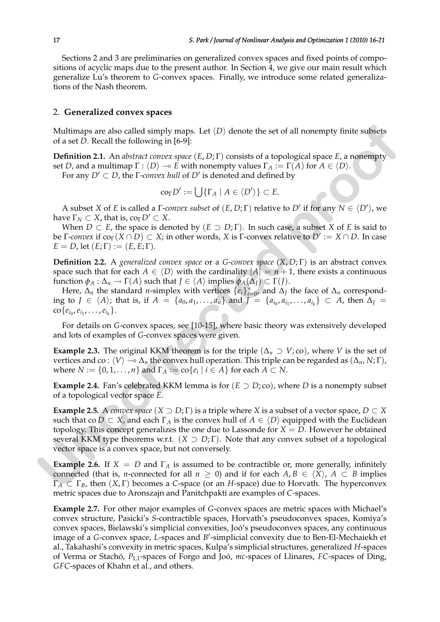Sections 2 and 3 are preliminaries on generalized convex spaces and fixed points of compositions of acyclic maps due to the present author. In Section 4, we give our main result which generalize Lu's theorem to *G*-convex spaces. Finally, we introduce some related generalizations of the Nash theorem.

## 2. **Generalized convex spaces**

Multimaps are also called simply maps. Let  $\langle D \rangle$  denote the set of all nonempty finite subsets of a set *D*. Recall the following in [6-9]:

**Definition 2.1.** An *abstract convex space* (*E*, *D*; Γ) consists of a topological space *E*, a nonempty set *D*, and a multimap  $\Gamma : \langle D \rangle \to E$  with nonempty values  $\Gamma_A := \Gamma(A)$  for  $A \in \langle D \rangle$ .

For any  $D' \subset D$ , the  $\Gamma$ -*convex hull* of  $D'$  is denoted and defined by

$$
\mathrm{co}_{\Gamma}D':=\bigcup\{\Gamma_A\mid A\in\langle D'\rangle\}\subset E.
$$

A subset *X* of *E* is called a *Γ-convex subset* of  $(E, D; \Gamma)$  relative to *D'* if for any  $N \in \langle D' \rangle$ , we have  $\Gamma_N \subset X$ , that is,  $\text{co}_{\Gamma} D' \subset X$ .

When  $D \subset E$ , the space is denoted by  $(E \supset D; \Gamma)$ . In such case, a subset *X* of *E* is said to be *Γ-convex* if  $\text{co}_{\Gamma}(X \cap D) \subset X$ ; in other words, *X* is *Γ*-convex relative to  $D' := X \cap D$ . In case  $E = D$ , let  $(E; \Gamma) := (E, E; \Gamma)$ .

**Definition 2.2.** A *generalized convex space* or a *G*-*convex space* (*X*, *D*; Γ) is an abstract convex space such that for each  $A \in \langle D \rangle$  with the cardinality  $|A| = n + 1$ , there exists a continuous function  $\phi_A : \Delta_n \to \Gamma(A)$  such that  $J \in \langle A \rangle$  implies  $\phi_A(\Delta_J) \subset \Gamma(J)$ .

Here,  $\Delta_n$  the standard *n*-simplex with vertices  $\{e_i\}_{i=0}^n$ , and  $\Delta_j$  the face of  $\Delta_n$  corresponding to *J* ∈  $\langle A \rangle$ ; that is, if *A* = {*a*<sub>0</sub>, *a*<sub>1</sub>, . . . , *a*<sub>*n*</sub>} and *J* = {*a*<sub>*i*0</sub></sub>, *a*<sub>*i*<sub>1</sub></sub>, . . . , *a*<sub>*i*<sub>k</sub></sub>} ⊂ *A*, then ∆*J* =  $\text{co}\{e_{i_0}, e_{i_1}, \ldots, e_{i_k}\}.$ 

For details on *G*-convex spaces, see [10-15], where basic theory was extensively developed and lots of examples of *G*-convex spaces were given.

**Example 2.3.** The original KKM theorem is for the triple  $(\Delta_n \supset V; \text{co})$ , where *V* is the set of vertices and co :  $\langle V \rangle \to \Delta_n$  the convex hull operation. This triple can be regarded as  $(\Delta_n, N; \Gamma)$ , where  $N := \{0, 1, \ldots, n\}$  and  $\Gamma_A := \text{co}\{e_i \mid i \in A\}$  for each  $A \subset N$ .

**Example 2.4.** Fan's celebrated KKM lemma is for  $(E \supset D; \text{co})$ , where *D* is a nonempty subset of a topological vector space *E*.

**Example 2.5.** A *convex space*  $(X \supset D; \Gamma)$  is a triple where *X* is a subset of a vector space,  $D \subset X$ such that co  $D \subset X$ , and each  $\Gamma_A$  is the convex hull of  $A \in \langle D \rangle$  equipped with the Euclidean topology. This concept generalizes the one due to Lassonde for  $X = D$ . However he obtained several KKM type theorems w.r.t.  $(X \supset D; \Gamma)$ . Note that any convex subset of a topological vector space is a convex space, but not conversely. Multimaps are also called simply maps. Let  $\langle D \rangle$  denote the set of all nonempty finite subsets<br>of a set *D*. Recall the following in [6-2].<br>Definition 2.1. An abstract concar space  $\langle E, D, \Gamma \rangle$  consists of a topological

**Example 2.6.** If  $X = D$  and  $\Gamma_A$  is assumed to be contractible or, more generally, infinitely connected (that is, *n*-connected for all  $n \geq 0$ ) and if for each  $A, B \in \langle X \rangle$ ,  $A \subset B$  implies Γ*<sup>A</sup>* ⊂ Γ*B*, then (*X*, Γ) becomes a *C*-space (or an *H*-space) due to Horvath. The hyperconvex metric spaces due to Aronszajn and Panitchpakti are examples of *C*-spaces.

**Example 2.7.** For other major examples of *G*-convex spaces are metric spaces with Michael's convex structure, Pasicki's *S*-contractible spaces, Horvath's pseudoconvex spaces, Komiya's convex spaces, Bielawski's simplicial convexities, Joo's pseudoconvex spaces, any continuous ´ image of a *G*-convex space, *L*-spaces and *B'*-simplicial convexity due to Ben-El-Mechaiekh et al., Takahashi's convexity in metric spaces, Kulpa's simplicial structures, generalized *H*-spaces of Verma or Stachó,  $P_{1,1}$ -spaces of Forgo and Joó, *mc*-spaces of Llinares, *FC*-spaces of Ding, *GFC*-spaces of Khahn et al., and others.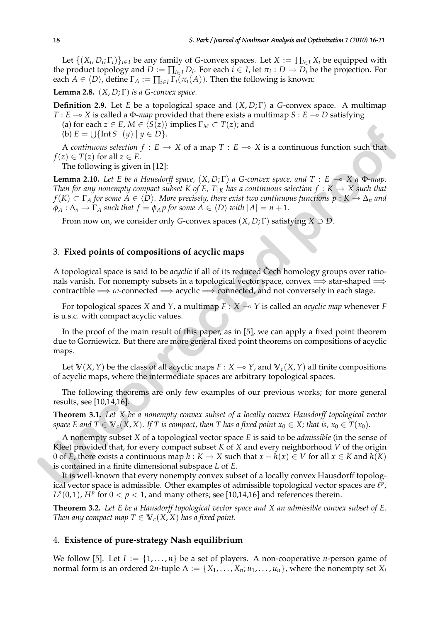Let  $\{(X_i, D_i; \Gamma_i)\}_{i \in I}$  be any family of *G*-convex spaces. Let  $X := \prod_{i \in I} X_i$  be equipped with the product topology and  $D := \prod_{i \in I} D_i$ . For each  $i \in I$ , let  $\pi_i : D \to D_i$  be the projection. For each  $A \in \langle D \rangle$ , define  $\Gamma_A := \prod_{i \in I} \Gamma_i(\pi_i(A))$ . Then the following is known:

**Lemma 2.8.** (*X*, *D*; Γ) *is a G-convex space.*

**Definition 2.9.** Let *E* be a topological space and (*X*, *D*; Γ) a *G*-convex space. A multimap *T* : *E*  $\sim$  *X* is called a Φ-*map* provided that there exists a multimap *S* : *E*  $\sim$  *D* satisfying

(a) for each  $z \in E$ ,  $M \in \langle S(z) \rangle$  implies  $\Gamma_M \subset T(z)$ ; and

(b)  $E = \bigcup \{ \text{Int } S^-(y) \mid y \in D \}.$ 

A *continuous selection*  $f : E \to X$  of a map  $T : E \to X$  is a continuous function such that  $f(z) \in T(z)$  for all  $z \in E$ .

The following is given in [12]:

**Lemma 2.10.** *Let E be a Hausdorff space,*  $(X, D; \Gamma)$  *a G-convex space, and*  $T : E \multimap X$  *a*  $\Phi$ *-map. Then for any nonempty compact subset* K of E, T|<sub>K</sub> has a continuous selection  $f: K \to X$  such that  $f(K) \subset \Gamma_A$  *for some*  $A \in \langle D \rangle$ *. More precisely, there exist two continuous functions p* :  $K \to \Delta_n$  *and*  $\phi_A : \Delta_n \to \Gamma_A$  *such that*  $f = \phi_A p$  *for some*  $A \in \langle D \rangle$  *with*  $|A| = n + 1$ *.* (a) for each  $2 \in E$ , M  $\in$  ( $5(\infty)$ ); implies  $1 \le L \le 1$  and<br>
(b)  $\Gamma = \cup \{\text{Int } 5^-(y) \mid y \in D\}$ .<br>
A centrinous selection  $f : E \to X$  of a map  $T : E \to X$  is a continuous function such that<br>  $\lambda$  centrinous selection  $f : E \to X$  of

From now on, we consider only *G*-convex spaces (*X*, *D*; Γ) satisfying *X* ⊃ *D*.

# 3. **Fixed points of compositions of acyclic maps**

A topological space is said to be *acyclic* if all of its reduced Čech homology groups over rationals vanish. For nonempty subsets in a topological vector space, convex  $\Longrightarrow$  star-shaped  $\Longrightarrow$ contractible  $\Longrightarrow \omega$ -connected  $\Longrightarrow$  acyclic  $\Longrightarrow$  connected, and not conversely in each stage.

For topological spaces *X* and *Y*, a multimap  $F : X \rightarrow Y$  is called an *acyclic map* whenever *F* is u.s.c. with compact acyclic values.

In the proof of the main result of this paper, as in [5], we can apply a fixed point theorem due to Gorniewicz. But there are more general fixed point theorems on compositions of acyclic maps.

Let  $V(X, Y)$  be the class of all acyclic maps  $F: X \to Y$ , and  $V_c(X, Y)$  all finite compositions of acyclic maps, where the intermediate spaces are arbitrary topological spaces.

The following theorems are only few examples of our previous works; for more general results, see [10,14,16].

**Theorem 3.1.** *Let X be a nonempty convex subset of a locally convex Hausdorff topological vector space E and*  $T \in V_c(X,X)$ *. If T is compact, then T has a fixed point*  $x_0 \in X$ *; that is,*  $x_0 \in T(x_0)$ *.* 

A nonempty subset *X* of a topological vector space *E* is said to be *admissible* (in the sense of Klee) provided that, for every compact subset *K* of *X* and every neighborhood *V* of the origin 0 of *E*, there exists a continuous map  $h: K \to X$  such that  $x - h(x) \in V$  for all  $x \in K$  and  $h(K)$ is contained in a finite dimensional subspace *L* of *E*.

It is well-known that every nonempty convex subset of a locally convex Hausdorff topological vector space is admissible. Other examples of admissible topological vector spaces are  $\ell^p$ ,  $L^p(0,1)$ ,  $H^p$  for  $0 < p < 1$ , and many others; see [10,14,16] and references therein.

**Theorem 3.2.** *Let E be a Hausdorff topological vector space and X an admissible convex subset of E. Then any compact map*  $T \in V_c(X, X)$  *has a fixed point.* 

## 4. **Existence of pure-strategy Nash equilibrium**

We follow [5]. Let  $I := \{1, \ldots, n\}$  be a set of players. A non-cooperative *n*-person game of normal form is an ordered  $2n$ -tuple  $\Lambda := \{X_1, \ldots, X_n; u_1, \ldots, u_n\}$ , where the nonempty set  $X_i$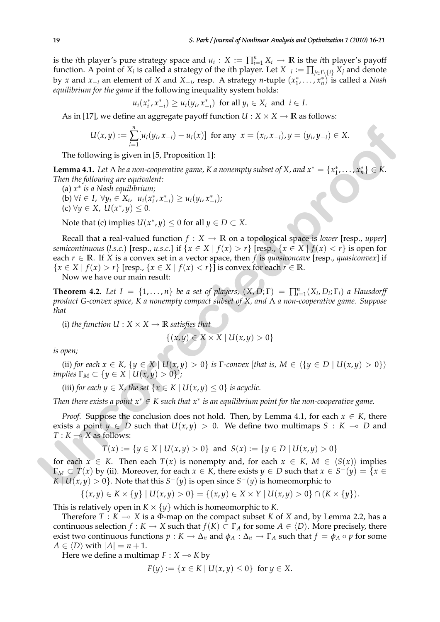is the *i*th player's pure strategy space and  $u_i: X := \prod_{i=1}^n X_i \to \mathbb{R}$  is the *i*th player's payoff function. A point of  $X_i$  is called a strategy of the *i*th player. Let  $X_{-i} := \prod_{j \in I \setminus \{i\}} X_j$  and denote by *x* and  $x_{-i}$  an element of *X* and  $X_{-i}$ , resp. A strategy *n*-tuple  $(x_1^*, \ldots, x_n^*)$  is called a *Nash equilibrium for the game* if the following inequality system holds:

$$
u_i(x_i^*, x_{-i}^*) \ge u_i(y_i, x_{-i}^*)
$$
 for all  $y_i \in X_i$  and  $i \in I$ .

As in [17], we define an aggregate payoff function  $U : X \times X \rightarrow \mathbb{R}$  as follows:

$$
U(x,y) := \sum_{i=1}^{n} [u_i(y_i,x_{-i}) - u_i(x)]
$$
 for any  $x = (x_i,x_{-i}), y = (y_i,y_{-i}) \in X$ .

The following is given in [5, Proposition 1]:

**Lemma 4.1.** Let  $\Lambda$  be a non-cooperative game, K a nonempty subset of X, and  $x^* = \{x_1^*, \ldots, x_n^*\} \in K$ . *Then the following are equivalent:*

- (a) *x* ∗ *is a Nash equilibrium;*
	- $(u) \forall i \in I, \forall y_i \in X_i, \quad u_i(x_i^*, x_{-i}^*) \geq u_i(y_i, x_{-i}^*)$ ; (c)  $\forall y \in X$ ,  $U(x^*, y) \leq 0$ .

Note that (c) implies  $U(x^*, y) \leq 0$  for all  $y \in D \subset X$ .

Recall that a real-valued function  $f : X \to \mathbb{R}$  on a topological space is *lower* [resp., *upper*] *semicontinuous* (*l.s.c.*) [resp., *u.s.c.*] if  $\{x \in X \mid f(x) > r\}$  [resp.,  $\{x \in X \mid f(x) < r\}$  is open for each  $r \in \mathbb{R}$ . If *X* is a convex set in a vector space, then *f* is *quasiconcave* [resp., *quasiconvex*] if  ${x \in X \mid f(x) > r}$  [resp.,  ${x \in X \mid f(x) < r}$ ] is convex for each  $r \in \mathbb{R}$ . U(*x,y*) : =  $\sum_{i=1}^{n} [u_i(y_i, x_{-i}) - u_i(x)]$  for any  $x = (x_i, x_{-i}), y = (y_i, y_{-i}) \in X$ .<br>
The following is given in [5, Proposition 1]:<br> **Lemma 4.1.** Let  $\Lambda$  be a non-cooperablic game,  $K$  a nonempty subset of  $X$ , and  $x^* = \{x'_1$ 

Now we have our main result:

**Theorem 4.2.** Let  $I = \{1, ..., n\}$  be a set of players,  $(X, D; \Gamma) = \prod_{i=1}^{n} (X_i, D_i; \Gamma_i)$  a Hausdorff *product G-convex space, K a nonempty compact subset of X, and* Λ *a non-cooperative game. Suppose that*

(i) *the function*  $U : X \times X \rightarrow \mathbb{R}$  *satisfies that* 

$$
\{(x,y)\in X\times X\mid U(x,y)>0\}
$$

*is open;*

(ii) *for each*  $x \in K$ ,  $\{y \in X \mid U(x,y) > 0\}$  *is*  $\Gamma$ *-convex* [*that is,*  $M \in \{\{y \in D \mid U(x,y) > 0\}\}\$ *implies*  $\Gamma_M \subset \{y \in X \mid U(x,y) > 0\}$ *;* 

(iii) *for each*  $y \in X$ *, the set*  $\{x \in K \mid U(x, y) \le 0\}$  *is acyclic.* 

*Then there exists a point*  $x^* \in K$  such that  $x^*$  is an equilibrium point for the non-cooperative game.

*Proof.* Suppose the conclusion does not hold. Then, by Lemma 4.1, for each  $x \in K$ , there exists a point  $y \in D$  such that  $U(x,y) > 0$ . We define two multimaps  $S : K \to D$  and  $T: K \longrightarrow X$  as follows:

$$
T(x) := \{ y \in X \mid U(x, y) > 0 \} \text{ and } S(x) := \{ y \in D \mid U(x, y) > 0 \}
$$

for each  $x \in K$ . Then each  $T(x)$  is nonempty and, for each  $x \in K$ ,  $M \in \langle S(x) \rangle$  implies  $\Gamma_M\subset T(x)$  by (ii). Moreover, for each  $x\in K$ , there exists  $y\in D$  such that  $x\in S^-(y)=\{x\in K\}$ *K*  $|U(x, y) > 0$ . Note that this  $S^{-}(y)$  is open since  $S^{-}(y)$  is homeomorphic to

$$
\{(x,y)\in K\times \{y\} \mid U(x,y)>0\} = \{(x,y)\in X\times Y \mid U(x,y)>0\} \cap (K\times \{y\}).
$$

This is relatively open in  $K \times \{y\}$  which is homeomorphic to *K*.

Therefore  $T : K \to X$  is a  $\Phi$ -map on the compact subset *K* of *X* and, by Lemma 2.2, has a continuous selection  $f : K \to X$  such that  $f(K) \subset \Gamma_A$  for some  $A \in \langle D \rangle$ . More precisely, there exist two continuous functions  $p: K \to \Delta_n$  and  $\phi_A: \Delta_n \to \Gamma_A$  such that  $f = \phi_A \circ p$  for some  $A \in \langle D \rangle$  with  $|A| = n + 1$ .

Here we define a multimap  $F : X \rightarrow K$  by

$$
F(y) := \{ x \in K \mid U(x, y) \le 0 \} \text{ for } y \in X.
$$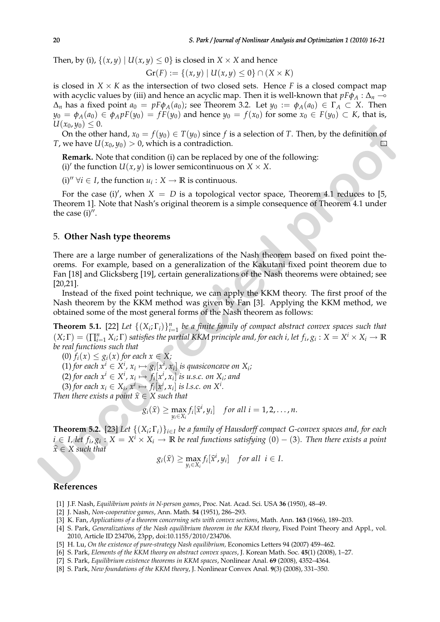Then, by (i),  $\{(x, y) | U(x, y) \leq 0\}$  is closed in  $X \times X$  and hence

$$
\operatorname{Gr}(F) := \{(x, y) \mid U(x, y) \leq 0\} \cap (X \times K)
$$

is closed in  $X \times K$  as the intersection of two closed sets. Hence *F* is a closed compact map with acyclic values by (iii) and hence an acyclic map. Then it is well-known that  $pF\phi_A : \Delta_n \to$  $\Delta_n$  has a fixed point  $a_0 = pF\phi_A(a_0)$ ; see Theorem 3.2. Let  $y_0 := \phi_A(a_0) \in \Gamma_A \subset X$ . Then  $y_0 = \phi_A(a_0) \in \phi_A p F(y_0) = f F(y_0)$  and hence  $y_0 = f(x_0)$  for some  $x_0 \in F(y_0) \subset K$ , that is,  $U(x_0, y_0) \leq 0.$ 

On the other hand,  $x_0 = f(y_0) \in T(y_0)$  since f is a selection of T. Then, by the definition of *T*, we have  $U(x_0, y_0) > 0$ , which is a contradiction.

**Remark.** Note that condition (i) can be replaced by one of the following:

(i)' the function  $U(x, y)$  is lower semicontinuous on  $X \times X$ .

 $(i)''$  ∀*i* ∈ *I*, the function  $u_i$  : *X* → **R** is continuous.

For the case (i)', when  $X = D$  is a topological vector space, Theorem 4.1 reduces to [5, Theorem 1]. Note that Nash's original theorem is a simple consequence of Theorem 4.1 under the case  $(i)$ ".

## 5. **Other Nash type theorems**

There are a large number of generalizations of the Nash theorem based on fixed point theorems. For example, based on a generalization of the Kakutani fixed point theorem due to Fan [18] and Glicksberg [19], certain generalizations of the Nash theorems were obtained; see [20,21]. **U**( $x_{0.95}$ )  $\leq$  2 (0).  $\in$  *T*(*yn*) since *f* is a selection of *T*. Then, by the definition of<br> *T*, we have U[ $x_{0.9}$ ]  $\geq$  0 (which is a contradiction.<br> **EVERTIFY EVERTIFY EXECUTE:**<br> **EVERTIFY**  $\forall i \in I$ , t

Instead of the fixed point technique, we can apply the KKM theory. The first proof of the Nash theorem by the KKM method was given by Fan [3]. Applying the KKM method, we obtained some of the most general forms of the Nash theorem as follows:

**Theorem 5.1.** [22] Let  $\{(X_i, \Gamma_i)\}_{i=1}^n$  be a finite family of compact abstract convex spaces such that  $(X;\Gamma)=(\prod_{i=1}^n X_i;\Gamma)$  satisfies the partial KKM principle and, for each i, let  $f_i,g_i:X=X^i\times X_i\to\mathbb{R}$ *be real functions such that*

(0)  $f_i(x) \leq g_i(x)$  for each  $x \in X$ ;

 $(1)$  *for each*  $x^i \in X^i$ *,*  $x_i \mapsto g_i[x^i, x_i]$  *is quasiconcave on*  $X_i$ *;* 

 $f_i(x)$  *for each*  $x^i$  ∈  $X^i$ ,  $x_i$   $\mapsto$   $f_i[x^i, x_i]$  *is u.s.c. on*  $X_i$ *; and* 

(3) for each  $x_i \in X_i$ ,  $x^i \mapsto f_i[x^i, x_i]$  is l.s.c. on  $X^i$ .

*Then there exists a point*  $\hat{x} \in X$  *such that* 

$$
g_i(\widehat{x}) \geq \max_{y_i \in X_i} f_i[\widehat{x}^i, y_i] \quad \text{for all } i = 1, 2, \ldots, n.
$$

**Theorem 5.2.** [23] *Let* {(*X<sup>i</sup>* ; Γ*i*)}*i*∈*<sup>I</sup> be a family of Hausdorff compact G-convex spaces and, for each*  $i \in I$ , let  $f_i$ ,  $g_i: X=X^i \times X_i \to \mathbb{R}$  be real functions satisfying  $(0)-(3)$ . Then there exists a point  $\hat{x} \in X$  such that

$$
g_i(\widehat{x}) \geq \max_{y_i \in X_i} f_i[\widehat{x}^i, y_i] \quad \text{for all } i \in I.
$$

#### **References**

- [1] J.F. Nash, *Equilibrium points in N-person games*, Proc. Nat. Acad. Sci. USA **36** (1950), 48–49.
- [2] J. Nash, *Non-cooperative games*, Ann. Math. **54** (1951), 286–293.
- [3] K. Fan, *Applications of a theorem concerning sets with convex sections*, Math. Ann. **163** (1966), 189–203.
- [4] S. Park, *Generalizations of the Nash equilibrium theorem in the KKM theory*, Fixed Point Theory and Appl., vol. 2010, Article ID 234706, 23pp, doi:10.1155/2010/234706.
- [5] H. Lu, *On the existence of pure-strategy Nash equilibrium,* Economics Letters 94 (2007) 459–462.
- [6] S. Park, *Elements of the KKM theory on abstract convex spaces*, J. Korean Math. Soc. **45**(1) (2008), 1–27.
- [7] S. Park, *Equilibrium existence theorems in KKM spaces*, Nonlinear Anal. **69** (2008), 4352–4364.
- [8] S. Park, *New foundations of the KKM theory*, J. Nonlinear Convex Anal. **9**(3) (2008), 331–350.